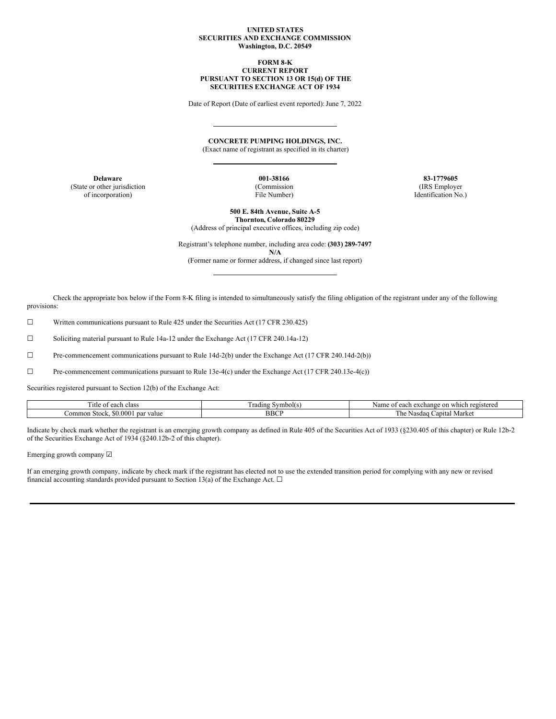#### **UNITED STATES SECURITIES AND EXCHANGE COMMISSION Washington, D.C. 20549**

## **FORM 8-K CURRENT REPORT PURSUANT TO SECTION 13 OR 15(d) OF THE SECURITIES EXCHANGE ACT OF 1934**

Date of Report (Date of earliest event reported): June 7, 2022

## **CONCRETE PUMPING HOLDINGS, INC.** (Exact name of registrant as specified in its charter)

**Delaware 001-38166 83-1779605** (State or other jurisdiction of incorporation)

(Commission File Number)

**500 E. 84th Avenue, Suite A-5 Thornton, Colorado 80229**

(IRS Employer Identification No.)

(Address of principal executive offices, including zip code)

Registrant's telephone number, including area code: **(303) 289-7497**

**N/A**

(Former name or former address, if changed since last report)

Check the appropriate box below if the Form 8-K filing is intended to simultaneously satisfy the filing obligation of the registrant under any of the following provisions:

☐ Written communications pursuant to Rule 425 under the Securities Act (17 CFR 230.425)

☐ Soliciting material pursuant to Rule 14a-12 under the Exchange Act (17 CFR 240.14a-12)

☐ Pre-commencement communications pursuant to Rule 14d-2(b) under the Exchange Act (17 CFR 240.14d-2(b))

 $\Box$  Pre-commencement communications pursuant to Rule 13e-4(c) under the Exchange Act (17 CFR 240.13e-4(c))

Securities registered pursuant to Section 12(b) of the Exchange Act:

| `itle<br>each class                                 | mboll:<br>rading      | Name<br>registered<br>exchange<br>on<br>which<br>$\sim$<br>$\sim$<br><u>Cac i i</u><br>,,, |  |  |  |  |  |
|-----------------------------------------------------|-----------------------|--------------------------------------------------------------------------------------------|--|--|--|--|--|
| 0.000<br>.ommon<br>par value<br><b>Stock</b><br>ъŧ. | <b>DF</b><br>$\sim$ r | $\sim$<br>∴apıtal Market<br>sdao<br>1 ne                                                   |  |  |  |  |  |

Indicate by check mark whether the registrant is an emerging growth company as defined in Rule 405 of the Securities Act of 1933 (§230.405 of this chapter) or Rule 12b-2 of the Securities Exchange Act of 1934 (§240.12b-2 of this chapter).

Emerging growth company ☑

If an emerging growth company, indicate by check mark if the registrant has elected not to use the extended transition period for complying with any new or revised financial accounting standards provided pursuant to Section 13(a) of the Exchange Act.  $\Box$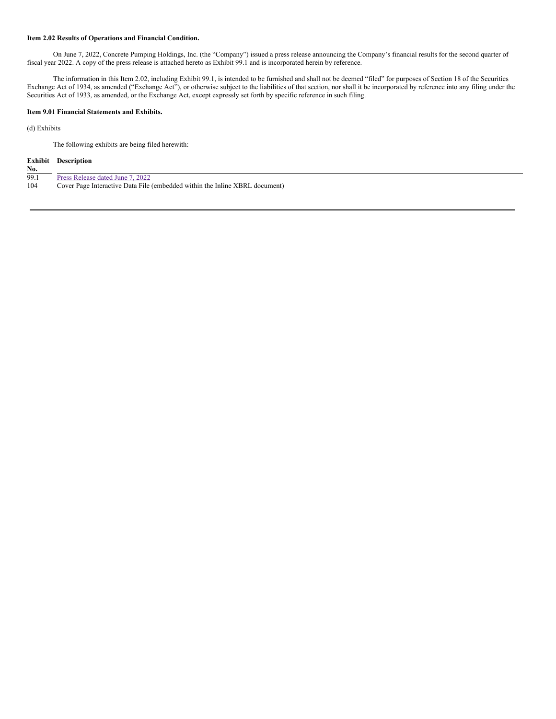## **Item 2.02 Results of Operations and Financial Condition.**

On June 7, 2022, Concrete Pumping Holdings, Inc. (the "Company") issued a press release announcing the Company's financial results for the second quarter of fiscal year 2022. A copy of the press release is attached hereto as Exhibit 99.1 and is incorporated herein by reference.

The information in this Item 2.02, including Exhibit 99.1, is intended to be furnished and shall not be deemed "filed" for purposes of Section 18 of the Securities Exchange Act of 1934, as amended ("Exchange Act"), or otherwise subject to the liabilities of that section, nor shall it be incorporated by reference into any filing under the Securities Act of 1933, as amended, or the Exchange Act, except expressly set forth by specific reference in such filing.

## **Item 9.01 Financial Statements and Exhibits.**

## (d) Exhibits

The following exhibits are being filed herewith:

#### **Exhibit Description**

| No.  |                                                                             |
|------|-----------------------------------------------------------------------------|
| 99.1 | Press Release dated June 7, 2022                                            |
| 104  | Cover Page Interactive Data File (embedded within the Inline XBRL document) |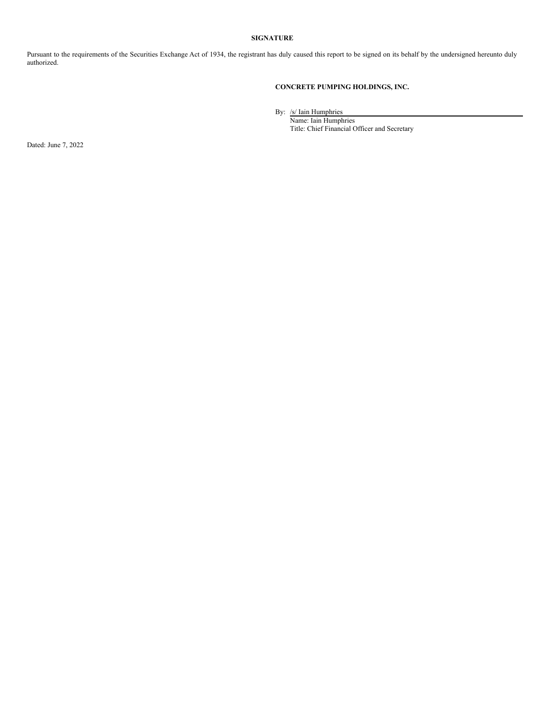## **SIGNATURE**

Pursuant to the requirements of the Securities Exchange Act of 1934, the registrant has duly caused this report to be signed on its behalf by the undersigned hereunto duly authorized.

# **CONCRETE PUMPING HOLDINGS, INC.**

By: /s/ Iain Humphries

Name: Iain Humphries Title: Chief Financial Officer and Secretary

Dated: June 7, 2022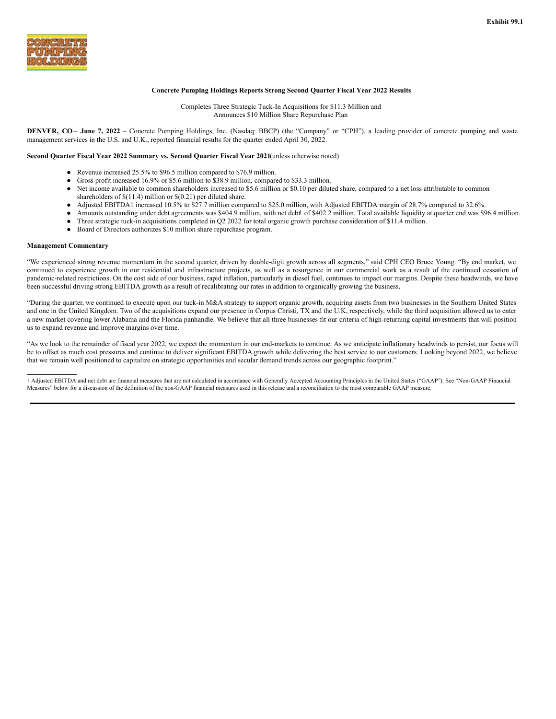

## **Concrete Pumping Holdings Reports Strong Second Quarter Fiscal Year 2022 Results**

Completes Three Strategic Tuck-In Acquisitions for \$11.3 Million and Announces \$10 Million Share Repurchase Plan

**DENVER, CO** – **June 7, 2022** – Concrete Pumping Holdings, Inc. (Nasdaq: BBCP) (the "Company" or "CPH"), a leading provider of concrete pumping and waste management services in the U.S. and U.K., reported financial results for the quarter ended April 30, 2022.

## **Second Quarter Fiscal Year 2022 Summary vs. Second Quarter Fiscal Year 2021**(unless otherwise noted)

- Revenue increased 25.5% to \$96.5 million compared to \$76.9 million.
- Gross profit increased 16.9% or \$5.6 million to \$38.9 million, compared to \$33.3 million.
- Net income available to common shareholders increased to \$5.6 million or \$0.10 per diluted share, compared to a net loss attributable to common shareholders of  $\S(11.4)$  million or  $\S(0.21)$  per diluted share.
- Adjusted EBITDA1 increased 10.5% to \$27.7 million compared to \$25.0 million, with Adjusted EBITDA margin of 28.7% compared to 32.6%.
- Amounts outstanding under debt agreements was \$404.9 million, with net debt<sup>1</sup> of \$402.2 million. Total available liquidity at quarter end was \$96.4 million.
- Three strategic tuck-in acquisitions completed in Q2 2022 for total organic growth purchase consideration of \$11.4 million.
- Board of Directors authorizes \$10 million share repurchase program.

#### **Management Commentary**

"We experienced strong revenue momentum in the second quarter, driven by double-digit growth across all segments," said CPH CEO Bruce Young. "By end market, we continued to experience growth in our residential and infrastructure projects, as well as a resurgence in our commercial work as a result of the continued cessation of pandemic-related restrictions. On the cost side of our business, rapid inflation, particularly in diesel fuel, continues to impact our margins. Despite these headwinds, we have been successful driving strong EBITDA growth as a result of recalibrating our rates in addition to organically growing the business.

"During the quarter, we continued to execute upon our tuck-in M&A strategy to support organic growth, acquiring assets from two businesses in the Southern United States and one in the United Kingdom. Two of the acquisitions expand our presence in Corpus Christi, TX and the U.K, respectively, while the third acquisition allowed us to enter a new market covering lower Alabama and the Florida panhandle. We believe that all three businesses fit our criteria of high-returning capital investments that will position us to expand revenue and improve margins over time.

"As we look to the remainder of fiscal year 2022, we expect the momentum in our end-markets to continue. As we anticipate inflationary headwinds to persist, our focus will be to offset as much cost pressures and continue to deliver significant EBITDA growth while delivering the best service to our customers. Looking beyond 2022, we believe that we remain well positioned to capitalize on strategic opportunities and secular demand trends across our geographic footprint."

<sup>1</sup> Adjusted EBITDA and net debt are financial measures that are not calculated in accordance with Generally Accepted Accounting Principles in the United States ("GAAP"). See "Non-GAAP Financial Measures" below for a discussion of the definition of the non-GAAP financial measures used in this release and a reconciliation to the most comparable GAAP measure.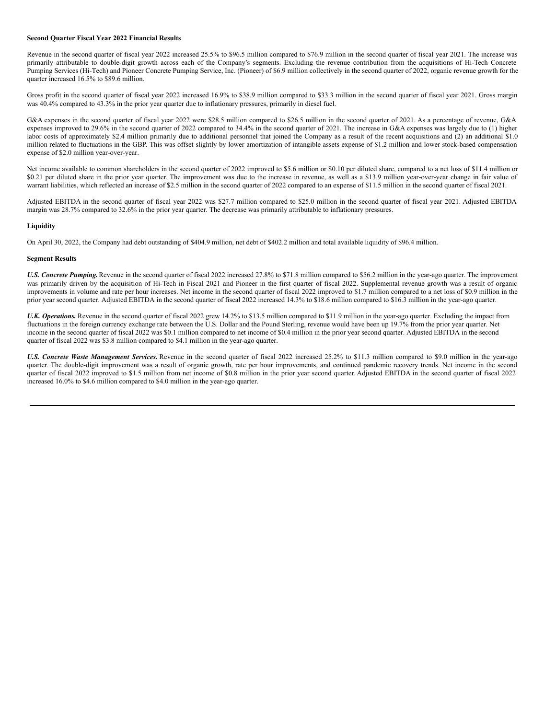## **Second Quarter Fiscal Year 2022 Financial Results**

Revenue in the second quarter of fiscal year 2022 increased 25.5% to \$96.5 million compared to \$76.9 million in the second quarter of fiscal year 2021. The increase was primarily attributable to double-digit growth across each of the Company's segments. Excluding the revenue contribution from the acquisitions of Hi-Tech Concrete Pumping Services (Hi-Tech) and Pioneer Concrete Pumping Service, Inc. (Pioneer) of \$6.9 million collectively in the second quarter of 2022, organic revenue growth for the quarter increased 16.5% to \$89.6 million.

Gross profit in the second quarter of fiscal year 2022 increased 16.9% to \$38.9 million compared to \$33.3 million in the second quarter of fiscal year 2021. Gross margin was 40.4% compared to 43.3% in the prior year quarter due to inflationary pressures, primarily in diesel fuel.

G&A expenses in the second quarter of fiscal year 2022 were \$28.5 million compared to \$26.5 million in the second quarter of 2021. As a percentage of revenue, G&A expenses improved to 29.6% in the second quarter of 2022 compared to 34.4% in the second quarter of 2021. The increase in G&A expenses was largely due to (1) higher labor costs of approximately \$2.4 million primarily due to additional personnel that joined the Company as a result of the recent acquisitions and (2) an additional \$1.0 million related to fluctuations in the GBP. This was offset slightly by lower amortization of intangible assets expense of \$1.2 million and lower stock-based compensation expense of \$2.0 million year-over-year.

Net income available to common shareholders in the second quarter of 2022 improved to \$5.6 million or \$0.10 per diluted share, compared to a net loss of \$11.4 million or \$0.21 per diluted share in the prior year quarter. The improvement was due to the increase in revenue, as well as a \$13.9 million year-over-year change in fair value of warrant liabilities, which reflected an increase of \$2.5 million in the second quarter of 2022 compared to an expense of \$11.5 million in the second quarter of fiscal 2021.

Adjusted EBITDA in the second quarter of fiscal year 2022 was \$27.7 million compared to \$25.0 million in the second quarter of fiscal year 2021. Adjusted EBITDA margin was 28.7% compared to 32.6% in the prior year quarter. The decrease was primarily attributable to inflationary pressures.

## **Liquidity**

On April 30, 2022, the Company had debt outstanding of \$404.9 million, net debt of \$402.2 million and total available liquidity of \$96.4 million.

## **Segment Results**

*U.S. Concrete Pumping.*Revenue in the second quarter of fiscal 2022 increased 27.8% to \$71.8 million compared to \$56.2 million in the year-ago quarter. The improvement was primarily driven by the acquisition of Hi-Tech in Fiscal 2021 and Pioneer in the first quarter of fiscal 2022. Supplemental revenue growth was a result of organic improvements in volume and rate per hour increases. Net income in the second quarter of fiscal 2022 improved to \$1.7 million compared to a net loss of \$0.9 million in the prior year second quarter. Adjusted EBITDA in the second quarter of fiscal 2022 increased 14.3% to \$18.6 million compared to \$16.3 million in the year-ago quarter.

U.K. Operations. Revenue in the second quarter of fiscal 2022 grew 14.2% to \$13.5 million compared to \$11.9 million in the year-ago quarter. Excluding the impact from fluctuations in the foreign currency exchange rate between the U.S. Dollar and the Pound Sterling, revenue would have been up 19.7% from the prior year quarter. Net income in the second quarter of fiscal 2022 was \$0.1 million compared to net income of \$0.4 million in the prior year second quarter. Adjusted EBITDA in the second quarter of fiscal 2022 was \$3.8 million compared to \$4.1 million in the year-ago quarter.

*U.S. Concrete Waste Management Services.* Revenue in the second quarter of fiscal 2022 increased 25.2% to \$11.3 million compared to \$9.0 million in the year-ago quarter. The double-digit improvement was a result of organic growth, rate per hour improvements, and continued pandemic recovery trends. Net income in the second quarter of fiscal 2022 improved to \$1.5 million from net income of \$0.8 million in the prior year second quarter. Adjusted EBITDA in the second quarter of fiscal 2022 increased 16.0% to \$4.6 million compared to \$4.0 million in the year-ago quarter.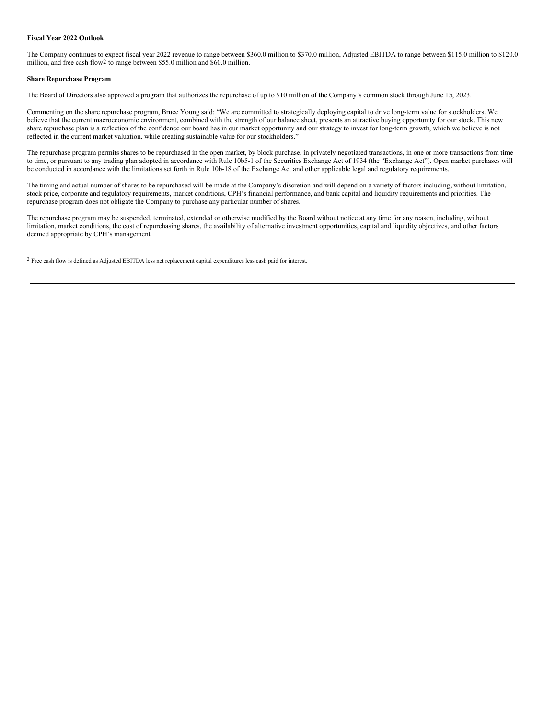## **Fiscal Year 2022 Outlook**

The Company continues to expect fiscal year 2022 revenue to range between \$360.0 million to \$370.0 million, Adjusted EBITDA to range between \$115.0 million to \$120.0 million, and free cash flow2 to range between \$55.0 million and \$60.0 million.

#### **Share Repurchase Program**

The Board of Directors also approved a program that authorizes the repurchase of up to \$10 million of the Company's common stock through June 15, 2023.

Commenting on the share repurchase program, Bruce Young said: "We are committed to strategically deploying capital to drive long-term value for stockholders. We believe that the current macroeconomic environment, combined with the strength of our balance sheet, presents an attractive buying opportunity for our stock. This new share repurchase plan is a reflection of the confidence our board has in our market opportunity and our strategy to invest for long-term growth, which we believe is not reflected in the current market valuation, while creating sustainable value for our stockholders."

The repurchase program permits shares to be repurchased in the open market, by block purchase, in privately negotiated transactions, in one or more transactions from time to time, or pursuant to any trading plan adopted in accordance with Rule 10b5-1 of the Securities Exchange Act of 1934 (the "Exchange Act"). Open market purchases will be conducted in accordance with the limitations set forth in Rule 10b-18 of the Exchange Act and other applicable legal and regulatory requirements.

The timing and actual number of shares to be repurchased will be made at the Company's discretion and will depend on a variety of factors including, without limitation, stock price, corporate and regulatory requirements, market conditions, CPH's financial performance, and bank capital and liquidity requirements and priorities. The repurchase program does not obligate the Company to purchase any particular number of shares.

The repurchase program may be suspended, terminated, extended or otherwise modified by the Board without notice at any time for any reason, including, without limitation, market conditions, the cost of repurchasing shares, the availability of alternative investment opportunities, capital and liquidity objectives, and other factors deemed appropriate by CPH's management.

<sup>2</sup> Free cash flow is defined as Adjusted EBITDA less net replacement capital expenditures less cash paid for interest.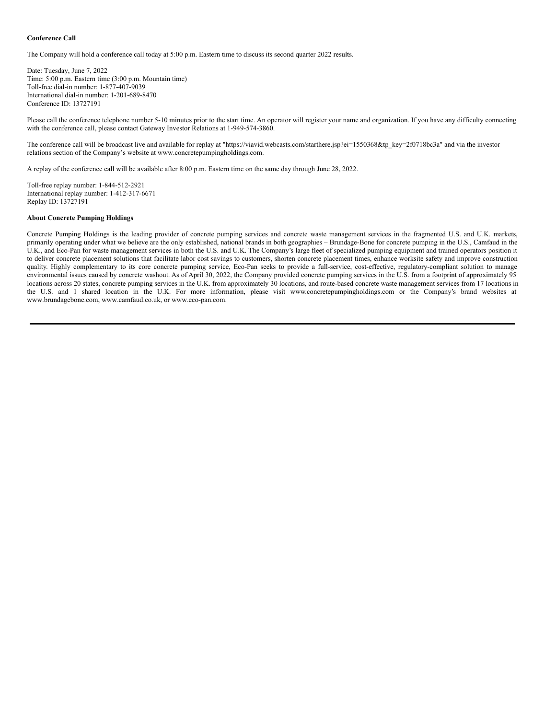## **Conference Call**

The Company will hold a conference call today at 5:00 p.m. Eastern time to discuss its second quarter 2022 results.

Date: Tuesday, June 7, 2022 Time: 5:00 p.m. Eastern time (3:00 p.m. Mountain time) Toll-free dial-in number: 1-877-407-9039 International dial-in number: 1-201-689-8470 Conference ID: 13727191

Please call the conference telephone number 5-10 minutes prior to the start time. An operator will register your name and organization. If you have any difficulty connecting with the conference call, please contact Gateway Investor Relations at 1-949-574-3860.

The conference call will be broadcast live and available for replay at "https://viavid.webcasts.com/starthere.jsp?ei=1550368&tp\_key=2f0718bc3a" and via the investor relations section of the Company's website at www.concretepumpingholdings.com.

A replay of the conference call will be available after 8:00 p.m. Eastern time on the same day through June 28, 2022.

Toll-free replay number: 1-844-512-2921 International replay number: 1-412-317-6671 Replay ID: 13727191

## **About Concrete Pumping Holdings**

Concrete Pumping Holdings is the leading provider of concrete pumping services and concrete waste management services in the fragmented U.S. and U.K. markets, primarily operating under what we believe are the only established, national brands in both geographies – Brundage-Bone for concrete pumping in the U.S., Camfaud in the U.K., and Eco-Pan for waste management services in both the U.S. and U.K. The Company's large fleet of specialized pumping equipment and trained operators position it to deliver concrete placement solutions that facilitate labor cost savings to customers, shorten concrete placement times, enhance worksite safety and improve construction quality. Highly complementary to its core concrete pumping service, Eco-Pan seeks to provide a full-service, cost-effective, regulatory-compliant solution to manage environmental issues caused by concrete washout. As of April 30, 2022, the Company provided concrete pumping services in the U.S. from a footprint of approximately 95 locations across 20 states, concrete pumping services in the U.K. from approximately 30 locations, and route-based concrete waste management services from 17 locations in the U.S. and 1 shared location in the U.K. For more information, please visit www.concretepumpingholdings.com or the Company's brand websites at www.brundagebone.com, www.camfaud.co.uk, or www.eco-pan.com.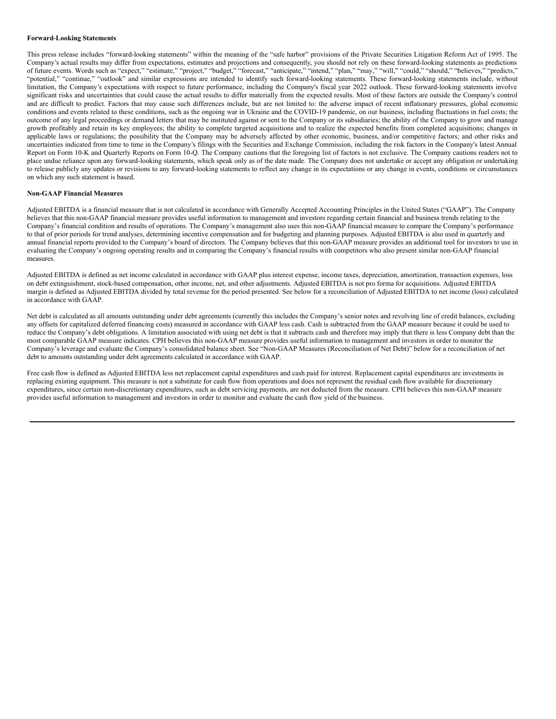## **Forward**‐**Looking Statements**

This press release includes "forward-looking statements" within the meaning of the "safe harbor" provisions of the Private Securities Litigation Reform Act of 1995. The Company's actual results may differ from expectations, estimates and projections and consequently, you should not rely on these forward-looking statements as predictions of future events. Words such as "expect," "estimate," "project," "budget," "forecast," "anticipate," "intend," "plan," "may," "will," "could," "should," "believes," "predicts," "potential," "continue," "outlook" and similar expressions are intended to identify such forward-looking statements. These forward-looking statements include, without limitation, the Company's expectations with respect to future performance, including the Company's fiscal year 2022 outlook. These forward-looking statements involve significant risks and uncertainties that could cause the actual results to differ materially from the expected results. Most of these factors are outside the Company's control and are difficult to predict. Factors that may cause such differences include, but are not limited to: the adverse impact of recent inflationary pressures, global economic conditions and events related to these conditions, such as the ongoing war in Ukraine and the COVID-19 pandemic, on our business, including fluctuations in fuel costs; the outcome of any legal proceedings or demand letters that may be instituted against or sent to the Company or its subsidiaries; the ability of the Company to grow and manage growth profitably and retain its key employees; the ability to complete targeted acquisitions and to realize the expected benefits from completed acquisitions; changes in applicable laws or regulations; the possibility that the Company may be adversely affected by other economic, business, and/or competitive factors; and other risks and uncertainties indicated from time to time in the Company's filings with the Securities and Exchange Commission, including the risk factors in the Company's latest Annual Report on Form 10-K and Quarterly Reports on Form 10-Q. The Company cautions that the foregoing list of factors is not exclusive. The Company cautions readers not to place undue reliance upon any forward-looking statements, which speak only as of the date made. The Company does not undertake or accept any obligation or undertaking to release publicly any updates or revisions to any forward-looking statements to reflect any change in its expectations or any change in events, conditions or circumstances on which any such statement is based.

## **Non-GAAP Financial Measures**

Adjusted EBITDA is a financial measure that is not calculated in accordance with Generally Accepted Accounting Principles in the United States ("GAAP"). The Company believes that this non-GAAP financial measure provides useful information to management and investors regarding certain financial and business trends relating to the Company's financial condition and results of operations. The Company's management also uses this non-GAAP financial measure to compare the Company's performance to that of prior periods for trend analyses, determining incentive compensation and for budgeting and planning purposes. Adjusted EBITDA is also used in quarterly and annual financial reports provided to the Company's board of directors. The Company believes that this non-GAAP measure provides an additional tool for investors to use in evaluating the Company's ongoing operating results and in comparing the Company's financial results with competitors who also present similar non-GAAP financial measures.

Adjusted EBITDA is defined as net income calculated in accordance with GAAP plus interest expense, income taxes, depreciation, amortization, transaction expenses, loss on debt extinguishment, stock-based compensation, other income, net, and other adjustments. Adjusted EBITDA is not pro forma for acquisitions. Adjusted EBITDA margin is defined as Adjusted EBITDA divided by total revenue for the period presented. See below for a reconciliation of Adjusted EBITDA to net income (loss) calculated in accordance with GAAP.

Net debt is calculated as all amounts outstanding under debt agreements (currently this includes the Company's senior notes and revolving line of credit balances, excluding any offsets for capitalized deferred financing costs) measured in accordance with GAAP less cash. Cash is subtracted from the GAAP measure because it could be used to reduce the Company's debt obligations. A limitation associated with using net debt is that it subtracts cash and therefore may imply that there is less Company debt than the most comparable GAAP measure indicates. CPH believes this non-GAAP measure provides useful information to management and investors in order to monitor the Company's leverage and evaluate the Company's consolidated balance sheet. See "Non-GAAP Measures (Reconciliation of Net Debt)" below for a reconciliation of net debt to amounts outstanding under debt agreements calculated in accordance with GAAP.

Free cash flow is defined as Adjusted EBITDA less net replacement capital expenditures and cash paid for interest. Replacement capital expenditures are investments in replacing existing equipment. This measure is not a substitute for cash flow from operations and does not represent the residual cash flow available for discretionary expenditures, since certain non-discretionary expenditures, such as debt servicing payments, are not deducted from the measure. CPH believes this non-GAAP measure provides useful information to management and investors in order to monitor and evaluate the cash flow yield of the business.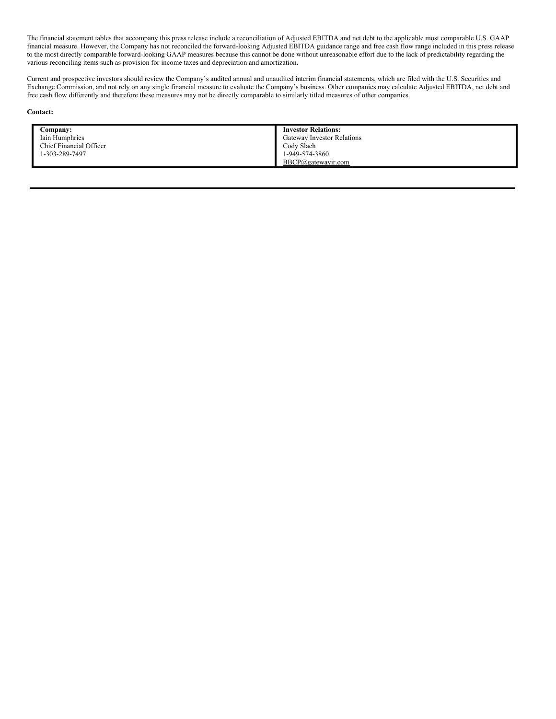The financial statement tables that accompany this press release include a reconciliation of Adjusted EBITDA and net debt to the applicable most comparable U.S. GAAP financial measure. However, the Company has not reconciled the forward-looking Adjusted EBITDA guidance range and free cash flow range included in this press release to the most directly comparable forward-looking GAAP measures because this cannot be done without unreasonable effort due to the lack of predictability regarding the various reconciling items such as provision for income taxes and depreciation and amortization**.**

Current and prospective investors should review the Company's audited annual and unaudited interim financial statements, which are filed with the U.S. Securities and Exchange Commission, and not rely on any single financial measure to evaluate the Company's business. Other companies may calculate Adjusted EBITDA, net debt and free cash flow differently and therefore these measures may not be directly comparable to similarly titled measures of other companies.

#### **Contact:**

| <b>Company:</b>         | <b>Investor Relations:</b>        |
|-------------------------|-----------------------------------|
| Iain Humphries          | <b>Gateway Investor Relations</b> |
| Chief Financial Officer | Cody Slach                        |
| 1-303-289-7497          | 1-949-574-3860                    |
|                         | BBCP@gatewayir.com                |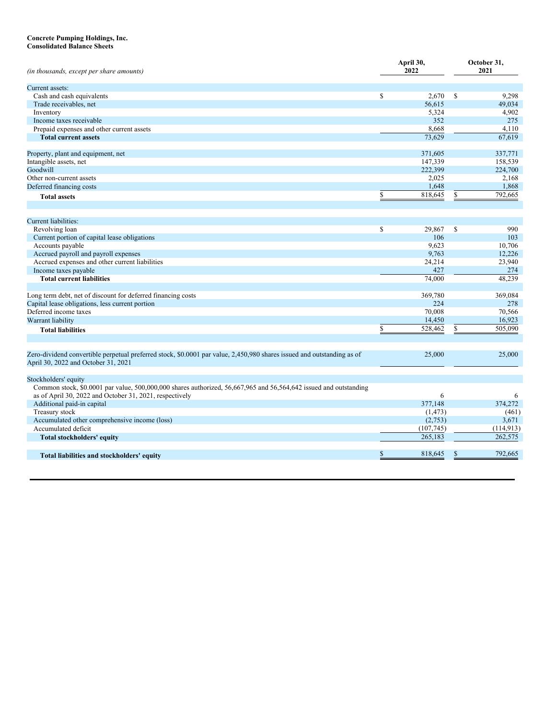## <span id="page-9-0"></span>**Concrete Pumping Holdings, Inc. Consolidated Balance Sheets**

| (in thousands, except per share amounts)                                                                                                                                     |    | April 30,<br>2022 |              | October 31,<br>2021 |
|------------------------------------------------------------------------------------------------------------------------------------------------------------------------------|----|-------------------|--------------|---------------------|
| Current assets:                                                                                                                                                              |    |                   |              |                     |
| Cash and cash equivalents                                                                                                                                                    | S  | 2.670             | <sup>S</sup> | 9,298               |
| Trade receivables, net                                                                                                                                                       |    | 56,615            |              | 49,034              |
| Inventory                                                                                                                                                                    |    | 5,324             |              | 4,902               |
| Income taxes receivable                                                                                                                                                      |    | 352               |              | 275                 |
| Prepaid expenses and other current assets                                                                                                                                    |    | 8,668             |              | 4,110               |
| <b>Total current assets</b>                                                                                                                                                  |    | 73,629            |              | 67,619              |
| Property, plant and equipment, net                                                                                                                                           |    | 371.605           |              | 337,771             |
| Intangible assets, net                                                                                                                                                       |    | 147,339           |              | 158,539             |
| Goodwill                                                                                                                                                                     |    | 222,399           |              | 224,700             |
| Other non-current assets                                                                                                                                                     |    | 2,025             |              | 2,168               |
| Deferred financing costs                                                                                                                                                     |    | 1,648             |              | 1,868               |
| <b>Total assets</b>                                                                                                                                                          | \$ | 818,645           | \$           | 792,665             |
|                                                                                                                                                                              |    |                   |              |                     |
| Current liabilities:                                                                                                                                                         |    |                   |              |                     |
| Revolving loan                                                                                                                                                               | S  | 29,867            | $\mathbb{S}$ | 990                 |
| Current portion of capital lease obligations                                                                                                                                 |    | 106               |              | 103                 |
| Accounts payable                                                                                                                                                             |    | 9.623             |              | 10.706              |
| Accrued payroll and payroll expenses                                                                                                                                         |    | 9,763             |              | 12,226              |
| Accrued expenses and other current liabilities                                                                                                                               |    | 24,214            |              | 23,940              |
| Income taxes payable                                                                                                                                                         |    | 427               |              | 274                 |
| <b>Total current liabilities</b>                                                                                                                                             |    | 74,000            |              | 48,239              |
| Long term debt, net of discount for deferred financing costs                                                                                                                 |    | 369,780           |              | 369,084             |
| Capital lease obligations, less current portion                                                                                                                              |    | 224               |              | 278                 |
| Deferred income taxes                                                                                                                                                        |    | 70,008            |              | 70,566              |
| Warrant liability                                                                                                                                                            |    | 14,450            |              | 16,923              |
|                                                                                                                                                                              | \$ | 528,462           | \$           | 505,090             |
| <b>Total liabilities</b>                                                                                                                                                     |    |                   |              |                     |
| Zero-dividend convertible perpetual preferred stock, \$0.0001 par value, 2,450,980 shares issued and outstanding as of<br>April 30, 2022 and October 31, 2021                |    | 25,000            |              | 25,000              |
| Stockholders' equity                                                                                                                                                         |    |                   |              |                     |
| Common stock, \$0.0001 par value, 500,000,000 shares authorized, 56,667,965 and 56,564,642 issued and outstanding<br>as of April 30, 2022 and October 31, 2021, respectively |    | 6                 |              | 6                   |
| Additional paid-in capital                                                                                                                                                   |    | 377,148           |              | 374,272             |
| Treasury stock                                                                                                                                                               |    | (1, 473)          |              | (461)               |
| Accumulated other comprehensive income (loss)                                                                                                                                |    | (2,753)           |              | 3,671               |
| Accumulated deficit                                                                                                                                                          |    | (107, 745)        |              | (114, 913)          |
| <b>Total stockholders' equity</b>                                                                                                                                            |    | 265,183           |              | 262,575             |
| Total liabilities and stockholders' equity                                                                                                                                   | S  | 818,645           | S            | 792.665             |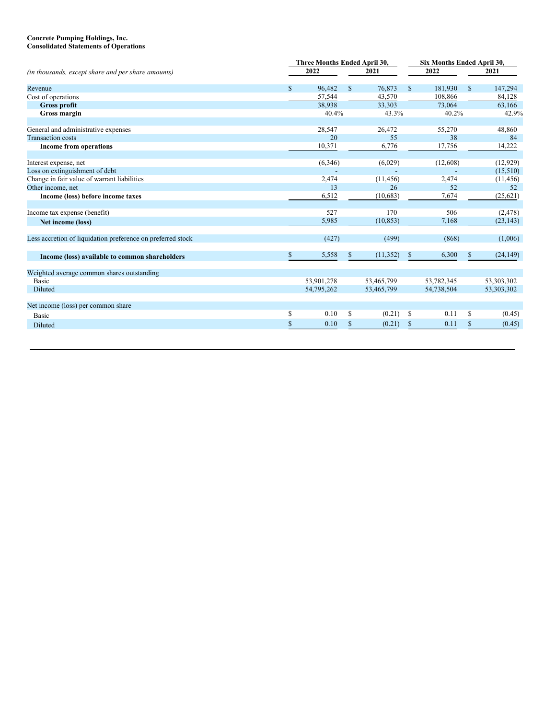## **Concrete Pumping Holdings, Inc. Consolidated Statements of Operations**

|                                                             |    | Three Months Ended April 30, |              |            |             |            | Six Months Ended April 30, |              |  |  |  |
|-------------------------------------------------------------|----|------------------------------|--------------|------------|-------------|------------|----------------------------|--------------|--|--|--|
| (in thousands, except share and per share amounts)          |    | 2022                         |              | 2021       |             | 2022       |                            | 2021         |  |  |  |
| Revenue                                                     | \$ | 96,482                       | $\mathbb{S}$ | 76,873     | $\mathbf S$ | 181,930    | $\mathbf S$                | 147,294      |  |  |  |
| Cost of operations                                          |    | 57,544                       |              | 43,570     |             | 108,866    |                            | 84,128       |  |  |  |
| <b>Gross profit</b>                                         |    | 38,938                       |              | 33,303     |             | 73,064     |                            | 63,166       |  |  |  |
| Gross margin                                                |    | 40.4%                        |              | 43.3%      |             | 40.2%      |                            | 42.9%        |  |  |  |
| General and administrative expenses                         |    | 28,547                       |              | 26,472     |             | 55,270     |                            | 48,860       |  |  |  |
| <b>Transaction costs</b>                                    |    | 20                           |              | 55         |             | 38         |                            | 84           |  |  |  |
| <b>Income from operations</b>                               |    | 10,371                       |              | 6,776      |             | 17,756     |                            | 14,222       |  |  |  |
| Interest expense, net                                       |    | (6,346)                      |              | (6,029)    |             | (12,608)   |                            | (12, 929)    |  |  |  |
| Loss on extinguishment of debt                              |    |                              |              |            |             |            |                            | (15,510)     |  |  |  |
| Change in fair value of warrant liabilities                 |    | 2,474                        |              | (11, 456)  |             | 2,474      |                            | (11, 456)    |  |  |  |
| Other income, net                                           |    | 13                           |              | 26         |             | 52         |                            | 52           |  |  |  |
| Income (loss) before income taxes                           |    | 6,512                        |              | (10, 683)  |             | 7,674      |                            | (25, 621)    |  |  |  |
| Income tax expense (benefit)                                |    | 527                          |              | 170        |             | 506        |                            | (2, 478)     |  |  |  |
| Net income (loss)                                           |    | 5,985                        |              | (10, 853)  |             | 7,168      |                            | (23, 143)    |  |  |  |
| Less accretion of liquidation preference on preferred stock |    | (427)                        |              | (499)      |             | (868)      |                            | (1,006)      |  |  |  |
| Income (loss) available to common shareholders              | S. | 5,558                        | S            | (11, 352)  | S           | 6,300      | S                          | (24, 149)    |  |  |  |
| Weighted average common shares outstanding                  |    |                              |              |            |             |            |                            |              |  |  |  |
| Basic                                                       |    | 53,901,278                   |              | 53,465,799 |             | 53,782,345 |                            | 53,303,302   |  |  |  |
| Diluted                                                     |    | 54,795,262                   |              | 53,465,799 |             | 54,738,504 |                            | 53, 303, 302 |  |  |  |
| Net income (loss) per common share                          |    |                              |              |            |             |            |                            |              |  |  |  |
| <b>Basic</b>                                                | \$ | 0.10                         | \$           | (0.21)     | \$          | 0.11       | \$                         | (0.45)       |  |  |  |
| Diluted                                                     | \$ | 0.10                         | $\mathbb{S}$ | (0.21)     | S           | 0.11       |                            | (0.45)       |  |  |  |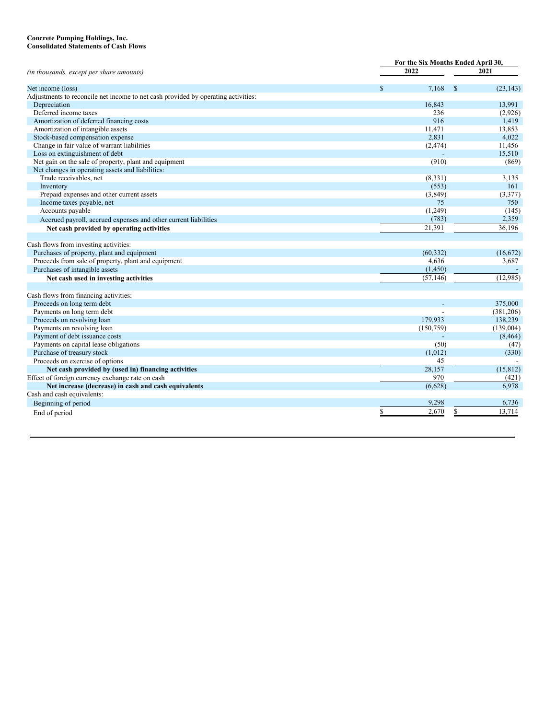### **Concrete Pumping Holdings, Inc. Consolidated Statements of Cash F l o w s**

|                                                                                   |          | For the Six Months Ended April 30, |               |            |  |  |  |  |  |  |
|-----------------------------------------------------------------------------------|----------|------------------------------------|---------------|------------|--|--|--|--|--|--|
| (in thousands, except per share amounts)                                          |          | 2022                               |               | 2021       |  |  |  |  |  |  |
| Net income (loss)                                                                 | <b>S</b> | 7.168                              | <sup>\$</sup> | (23, 143)  |  |  |  |  |  |  |
| Adjustments to reconcile net income to net cash provided by operating activities: |          |                                    |               |            |  |  |  |  |  |  |
| Depreciation                                                                      |          | 16.843                             |               | 13,991     |  |  |  |  |  |  |
| Deferred income taxes                                                             |          | 236                                |               | (2,926)    |  |  |  |  |  |  |
| Amortization of deferred financing costs                                          |          | 916                                |               | 1,419      |  |  |  |  |  |  |
| Amortization of intangible assets                                                 |          | 11,471                             |               | 13,853     |  |  |  |  |  |  |
| Stock-based compensation expense                                                  |          | 2,831                              |               | 4,022      |  |  |  |  |  |  |
| Change in fair value of warrant liabilities                                       |          | (2, 474)                           |               | 11,456     |  |  |  |  |  |  |
| Loss on extinguishment of debt                                                    |          |                                    |               | 15,510     |  |  |  |  |  |  |
| Net gain on the sale of property, plant and equipment                             |          | (910)                              |               | (869)      |  |  |  |  |  |  |
| Net changes in operating assets and liabilities:                                  |          |                                    |               |            |  |  |  |  |  |  |
| Trade receivables, net                                                            |          | (8,331)                            |               | 3,135      |  |  |  |  |  |  |
| Inventory                                                                         |          | (553)                              |               | 161        |  |  |  |  |  |  |
| Prepaid expenses and other current assets                                         |          | (3,849)                            |               | (3,377)    |  |  |  |  |  |  |
| Income taxes payable, net                                                         |          | 75                                 |               | 750        |  |  |  |  |  |  |
| Accounts payable                                                                  |          | (1,249)                            |               | (145)      |  |  |  |  |  |  |
| Accrued payroll, accrued expenses and other current liabilities                   |          | (783)                              |               | 2,359      |  |  |  |  |  |  |
| Net cash provided by operating activities                                         |          | 21,391                             |               | 36,196     |  |  |  |  |  |  |
|                                                                                   |          |                                    |               |            |  |  |  |  |  |  |
| Cash flows from investing activities:                                             |          |                                    |               |            |  |  |  |  |  |  |
| Purchases of property, plant and equipment                                        |          | (60, 332)                          |               | (16,672)   |  |  |  |  |  |  |
| Proceeds from sale of property, plant and equipment                               |          | 4,636                              |               | 3,687      |  |  |  |  |  |  |
| Purchases of intangible assets                                                    |          | (1,450)                            |               |            |  |  |  |  |  |  |
| Net cash used in investing activities                                             |          | (57, 146)                          |               | (12,985)   |  |  |  |  |  |  |
|                                                                                   |          |                                    |               |            |  |  |  |  |  |  |
| Cash flows from financing activities:                                             |          |                                    |               |            |  |  |  |  |  |  |
| Proceeds on long term debt                                                        |          |                                    |               | 375,000    |  |  |  |  |  |  |
| Payments on long term debt                                                        |          |                                    |               | (381, 206) |  |  |  |  |  |  |
| Proceeds on revolving loan                                                        |          | 179,933                            |               | 138,239    |  |  |  |  |  |  |
| Payments on revolving loan                                                        |          | (150, 759)                         |               | (139,004)  |  |  |  |  |  |  |
| Payment of debt issuance costs                                                    |          |                                    |               | (8, 464)   |  |  |  |  |  |  |
| Payments on capital lease obligations                                             |          | (50)                               |               | (47)       |  |  |  |  |  |  |
| Purchase of treasury stock                                                        |          | (1,012)                            |               | (330)      |  |  |  |  |  |  |
| Proceeds on exercise of options                                                   |          | 45                                 |               |            |  |  |  |  |  |  |
| Net cash provided by (used in) financing activities                               |          | 28,157                             |               | (15, 812)  |  |  |  |  |  |  |
| Effect of foreign currency exchange rate on cash                                  |          | 970                                |               | (421)      |  |  |  |  |  |  |
| Net increase (decrease) in cash and cash equivalents                              |          | (6,628)                            |               | 6,978      |  |  |  |  |  |  |
| Cash and cash equivalents:                                                        |          |                                    |               |            |  |  |  |  |  |  |
| Beginning of period                                                               |          | 9,298                              |               | 6,736      |  |  |  |  |  |  |
|                                                                                   | \$       | 2,670                              | \$            | 13,714     |  |  |  |  |  |  |
| End of period                                                                     |          |                                    |               |            |  |  |  |  |  |  |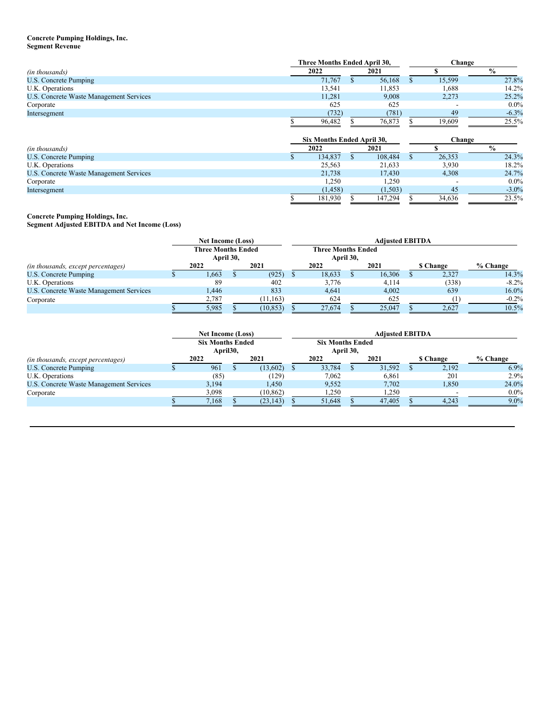## **Concrete Pumping Holdings, Inc. Segment Revenue**

|                                         |                            | Three Months Ended April 30, | Change |         |               |        |               |  |
|-----------------------------------------|----------------------------|------------------------------|--------|---------|---------------|--------|---------------|--|
| (in thousands)                          |                            | 2022                         | 2021   |         |               |        | $\frac{0}{0}$ |  |
| U.S. Concrete Pumping                   |                            | 71,767                       |        | 56,168  | <sup>\$</sup> | 15,599 | 27.8%         |  |
| U.K. Operations                         |                            | 13,541                       |        | 11,853  |               | 1,688  | 14.2%         |  |
| U.S. Concrete Waste Management Services |                            | 11,281                       |        | 9,008   |               | 2,273  | 25.2%         |  |
| Corporate                               |                            | 625                          |        | 625     |               |        | $0.0\%$       |  |
| Intersegment                            |                            | (732)                        |        | (781)   |               | 49     | $-6.3%$       |  |
|                                         |                            | 96,482                       |        | 76,873  |               | 19,609 | 25.5%         |  |
|                                         | Six Months Ended April 30, |                              |        |         |               |        |               |  |
|                                         |                            |                              |        |         |               | Change |               |  |
| (in thousands)                          |                            | 2022                         |        | 2021    |               |        | $\frac{0}{0}$ |  |
| U.S. Concrete Pumping                   |                            | 134,837                      |        | 108,484 |               | 26,353 | 24.3%         |  |
| U.K. Operations                         |                            | 25,563                       |        | 21,633  |               | 3,930  | 18.2%         |  |
| U.S. Concrete Waste Management Services |                            | 21,738                       |        | 17,430  |               | 4,308  | 24.7%         |  |
| Corporate                               |                            | 1,250                        |        | 1,250   |               |        | $0.0\%$       |  |
| Intersegment                            |                            | (1, 458)                     |        | (1,503) |               | 45     | $-3.0\%$      |  |

## **Concrete Pumping Holdings, Inc.**

**Segment Adjusted EBITDA and Net Income (Loss)**

|                                           | <b>Net Income (Loss)</b>  |  |           |           |                           |  |        |                 |          |
|-------------------------------------------|---------------------------|--|-----------|-----------|---------------------------|--|--------|-----------------|----------|
|                                           | <b>Three Months Ended</b> |  |           |           | <b>Three Months Ended</b> |  |        |                 |          |
|                                           | April 30,                 |  |           | April 30, |                           |  |        |                 |          |
| <i>(in thousands, except percentages)</i> | 2022                      |  | 2021      |           | 2022                      |  | 2021   | <b>S</b> Change | % Change |
| U.S. Concrete Pumping                     | .663                      |  | (925)     |           | 18.633                    |  | 16.306 | 2,327           | 14.3%    |
| U.K. Operations                           | 89                        |  | 402       |           | 3,776                     |  | 4.114  | (338)           | $-8.2\%$ |
| U.S. Concrete Waste Management Services   | .446                      |  | 833       |           | 4,641                     |  | 4,002  | 639             | $16.0\%$ |
| Corporate                                 | 2,787                     |  | (11, 163) |           | 624                       |  | 625    |                 | $-0.2\%$ |
|                                           | 5,985                     |  | (10, 853) |           | 27.674                    |  | 25,047 | 2,627           | 10.5%    |

|                                         | <b>Net Income (Loss)</b> |                                                  |  |           |  |                                      |  |        |  |                 |          |
|-----------------------------------------|--------------------------|--------------------------------------------------|--|-----------|--|--------------------------------------|--|--------|--|-----------------|----------|
|                                         |                          | <b>Six Months Ended</b><br>April <sub>30</sub> , |  |           |  | <b>Six Months Ended</b><br>April 30, |  |        |  |                 |          |
| (in thousands, except percentages)      |                          | 2022                                             |  | 2021      |  | 2022                                 |  | 2021   |  | <b>S</b> Change | % Change |
| U.S. Concrete Pumping                   |                          | 961                                              |  | (13,602)  |  | 33,784                               |  | 31.592 |  | 2,192           | 6.9%     |
| U.K. Operations                         |                          | (85)                                             |  | (129)     |  | 7,062                                |  | 6,861  |  | 201             | $2.9\%$  |
| U.S. Concrete Waste Management Services |                          | 3.194                                            |  | 1,450     |  | 9.552                                |  | 7,702  |  | 1,850           | 24.0%    |
| Corporate                               |                          | 3,098                                            |  | (10, 862) |  | 1,250                                |  | 1,250  |  |                 | $0.0\%$  |
|                                         |                          | 7,168                                            |  | (23, 143) |  | 51,648                               |  | 47,405 |  | 4,243           | $9.0\%$  |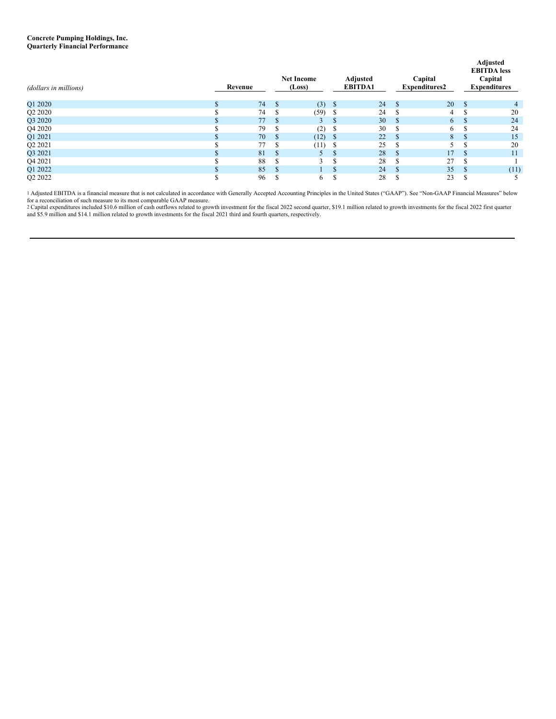## **Concrete Pumping Holdings, Inc. Quarterly Financial Performance**

| (dollars in millions) |          | Revenue |               |      |               | Adjusted<br><b>EBITDA1</b> |               | Capital<br>Expenditures2 | Adjusted<br><b>EBITDA</b> less<br>Capital<br><b>Expenditures</b> |      |
|-----------------------|----------|---------|---------------|------|---------------|----------------------------|---------------|--------------------------|------------------------------------------------------------------|------|
| Q1 2020               | <b>S</b> | 74      | $\sqrt{s}$    | (3)  | $\mathbb{S}$  | 24                         | <sup>\$</sup> | 20                       | <sup>\$</sup>                                                    | 4    |
| Q2 2020               |          | 74      | -S            | (59) | S             | 24                         |               | 4                        | ¢<br>ъ                                                           | 20   |
| Q3 2020               |          | 77      | $\mathbf{s}$  | 3    | ¢<br>D        | 30                         | S             | 6                        |                                                                  | 24   |
| Q4 2020               |          | 79      | S             | (2)  | S             | 30                         |               | 6                        | S                                                                | 24   |
| Q1 2021               |          | 70      | $\sqrt{s}$    | (12) | <sup>\$</sup> | 22                         |               | 8                        | D                                                                | 15   |
| Q2 2021               |          | 77      | -S            | (11) | \$            | 25                         |               |                          | S                                                                | 20   |
| Q3 2021               |          | 81      | S             | 5.   | ¢<br>ъ        | 28                         | S             | 17                       | S                                                                | 11   |
| Q4 2021               |          | 88      | S             |      | <sup>\$</sup> | 28                         |               | 27                       | S                                                                |      |
| Q1 2022               |          | 85      | -S            |      | ¢<br>D        | 24                         | <sup>\$</sup> | 35                       | S                                                                | (11) |
| Q2 2022               |          | 96      | <sup>\$</sup> | 6    | ¢<br>Ф        | 28                         |               | 23                       |                                                                  |      |

1 Adjusted EBITDA is a financial measure that is not calculated in accordance with Generally Accepted Accounting Principles in the United States ("GAAP"). See "Non-GAAP Financial Measures" below<br>2 Capital expenditures incl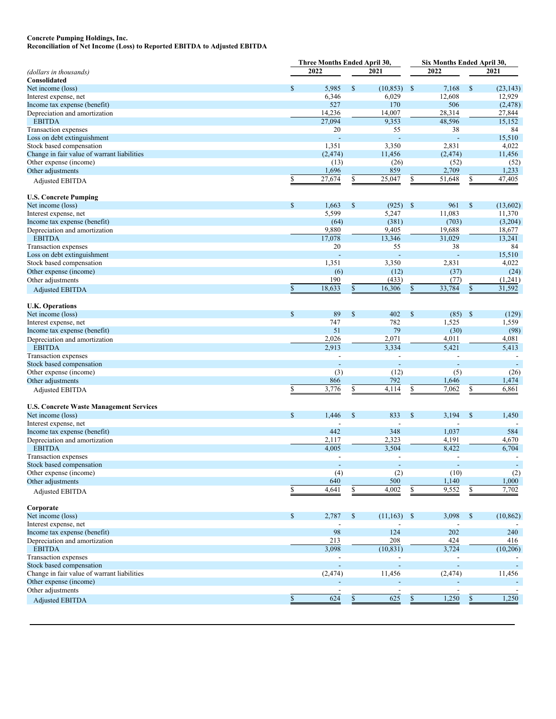## **Concrete Pumping Holdings, Inc. Reconciliation of Net Income (Loss) to Reported EBITDA to Adjusted EBITDA**

|                                                |                         | Three Months Ended April 30, |              |                          |               |                          | Six Months Ended April 30, |           |
|------------------------------------------------|-------------------------|------------------------------|--------------|--------------------------|---------------|--------------------------|----------------------------|-----------|
| (dollars in thousands)                         |                         | 2022                         |              | 2021                     |               | 2022                     |                            | 2021      |
| Consolidated                                   |                         |                              |              |                          |               |                          |                            |           |
| Net income (loss)                              | \$                      | 5,985                        | $\mathbb{S}$ | (10, 853)                | $\mathcal{S}$ | 7,168                    | $\mathsf{\$}$              | (23, 143) |
| Interest expense, net                          |                         | 6,346                        |              | 6,029                    |               | 12,608                   |                            | 12,929    |
| Income tax expense (benefit)                   |                         | 527                          |              | 170                      |               | 506                      |                            | (2, 478)  |
| Depreciation and amortization                  |                         | 14,236                       |              | 14,007                   |               | 28,314                   |                            | 27,844    |
| <b>EBITDA</b>                                  |                         | 27,094                       |              | 9,353                    |               | 48,596                   |                            | 15,152    |
| Transaction expenses                           |                         | 20                           |              | 55                       |               | 38                       |                            | 84        |
| Loss on debt extinguishment                    |                         |                              |              |                          |               |                          |                            | 15,510    |
| Stock based compensation                       |                         | 1,351                        |              | 3,350                    |               | 2,831                    |                            | 4,022     |
| Change in fair value of warrant liabilities    |                         | (2, 474)                     |              | 11,456                   |               | (2, 474)                 |                            | 11,456    |
| Other expense (income)                         |                         | (13)                         |              | (26)                     |               | (52)                     |                            | (52)      |
|                                                |                         |                              |              |                          |               |                          |                            |           |
| Other adjustments                              |                         | 1,696                        |              | 859                      |               | 2,709                    |                            | 1,233     |
| Adjusted EBITDA                                | \$                      | 27,674                       | \$           | 25,047                   | \$            | 51,648                   | \$                         | 47,405    |
| <b>U.S. Concrete Pumping</b>                   |                         |                              |              |                          |               |                          |                            |           |
| Net income (loss)                              | \$                      | 1,663                        | $\mathbb{S}$ | (925)                    | $\mathcal{S}$ | 961                      | $\mathsf{\$}$              | (13,602)  |
| Interest expense, net                          |                         | 5,599                        |              | 5,247                    |               | 11,083                   |                            | 11,370    |
| Income tax expense (benefit)                   |                         | (64)                         |              | (381)                    |               | (703)                    |                            | (3,204)   |
| Depreciation and amortization                  |                         | 9,880                        |              | 9,405                    |               | 19,688                   |                            | 18,677    |
| <b>EBITDA</b>                                  |                         | 17,078                       |              | 13,346                   |               | 31,029                   |                            | 13,241    |
| Transaction expenses                           |                         | 20                           |              | 55                       |               | 38                       |                            | 84        |
| Loss on debt extinguishment                    |                         | L.                           |              |                          |               |                          |                            | 15,510    |
|                                                |                         |                              |              |                          |               |                          |                            |           |
| Stock based compensation                       |                         | 1,351                        |              | 3,350                    |               | 2,831                    |                            | 4,022     |
| Other expense (income)                         |                         | (6)                          |              | (12)                     |               | (37)                     |                            | (24)      |
| Other adjustments                              |                         | 190                          |              | (433)                    |               | (77)                     |                            | (1,241)   |
| <b>Adjusted EBITDA</b>                         | \$                      | 18,633                       | \$           | 16,306                   | \$            | 33,784                   | \$                         | 31,592    |
| <b>U.K. Operations</b>                         |                         |                              |              |                          |               |                          |                            |           |
| Net income (loss)                              | \$                      | 89                           | $\mathbb{S}$ | 402                      | \$            | (85)                     | $\mathbb{S}$               | (129)     |
| Interest expense, net                          |                         | 747                          |              | 782                      |               | 1,525                    |                            | 1,559     |
| Income tax expense (benefit)                   |                         | 51                           |              | 79                       |               | (30)                     |                            | (98)      |
| Depreciation and amortization                  |                         | 2,026                        |              | 2,071                    |               | 4,011                    |                            | 4,081     |
|                                                |                         | 2,913                        |              |                          |               |                          |                            |           |
| <b>EBITDA</b>                                  |                         |                              |              | 3,334                    |               | 5,421                    |                            | 5,413     |
| Transaction expenses                           |                         | $\overline{\phantom{a}}$     |              | $\overline{a}$           |               | $\overline{\phantom{a}}$ |                            |           |
| Stock based compensation                       |                         | $\overline{\phantom{a}}$     |              | $\sim$                   |               | $\blacksquare$           |                            |           |
| Other expense (income)                         |                         | (3)                          |              | (12)                     |               | (5)                      |                            | (26)      |
| Other adjustments                              |                         | 866                          |              | 792                      |               | 1,646                    |                            | 1,474     |
| Adjusted EBITDA                                | \$                      | 3,776                        | \$           | 4,114                    | \$            | 7,062                    | \$                         | 6,861     |
| <b>U.S. Concrete Waste Management Services</b> |                         |                              |              |                          |               |                          |                            |           |
| Net income (loss)                              | \$                      | 1,446                        | \$           | 833                      | \$            | 3,194                    | $\mathbb{S}$               | 1,450     |
| Interest expense, net                          |                         |                              |              |                          |               |                          |                            |           |
| Income tax expense (benefit)                   |                         | 442                          |              | 348                      |               | 1,037                    |                            | 584       |
| Depreciation and amortization                  |                         | 2,117                        |              | 2,323                    |               | 4,191                    |                            | 4,670     |
| <b>EBITDA</b>                                  |                         | 4,005                        |              | 3,504                    |               | 8,422                    |                            | 6,704     |
|                                                |                         | $\overline{\phantom{a}}$     |              |                          |               | $\overline{a}$           |                            |           |
| Transaction expenses                           |                         |                              |              |                          |               |                          |                            |           |
| Stock based compensation                       |                         |                              |              |                          |               |                          |                            |           |
| Other expense (income)                         |                         | (4)                          |              | (2)                      |               | (10)                     |                            | (2)       |
| Other adjustments                              |                         | 640                          |              | 500                      |               | 1,140                    |                            | 1,000     |
| Adjusted EBITDA                                | \$                      | 4,641                        | \$           | 4,002                    | \$            | 9,552                    | \$                         | 7,702     |
| Corporate                                      |                         |                              |              |                          |               |                          |                            |           |
| Net income (loss)                              | $\mathbb{S}$            | 2,787                        | $\mathbb{S}$ | (11, 163)                | - \$          | 3,098                    | $\mathbb{S}$               | (10, 862) |
| Interest expense, net                          |                         |                              |              |                          |               |                          |                            |           |
| Income tax expense (benefit)                   |                         | 98                           |              | 124                      |               | 202                      |                            | 240       |
| Depreciation and amortization                  |                         | 213                          |              | 208                      |               | 424                      |                            | 416       |
|                                                |                         |                              |              |                          |               |                          |                            |           |
| <b>EBITDA</b>                                  |                         | 3,098                        |              | (10, 831)                |               | 3,724                    |                            | (10, 206) |
| <b>Transaction</b> expenses                    |                         |                              |              |                          |               |                          |                            |           |
| Stock based compensation                       |                         | ÷,                           |              |                          |               |                          |                            |           |
| Change in fair value of warrant liabilities    |                         | (2, 474)                     |              | 11,456                   |               | (2, 474)                 |                            | 11,456    |
| Other expense (income)                         |                         |                              |              |                          |               |                          |                            |           |
| Other adjustments                              |                         | $\overline{\phantom{a}}$     |              | $\overline{\phantom{a}}$ |               |                          |                            |           |
| <b>Adjusted EBITDA</b>                         | $\overline{\mathbb{S}}$ | 624                          | \$           | 625                      | \$            | 1,250                    | \$                         | 1,250     |
|                                                |                         |                              |              |                          |               |                          |                            |           |